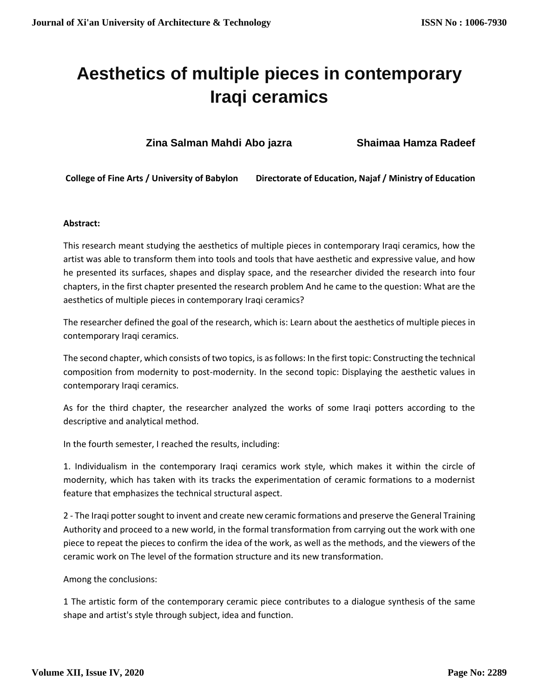# **Aesthetics of multiple pieces in contemporary Iraqi ceramics**

**Zina Salman Mahdi Abo jazra Shaimaa Hamza Radeef**

**College of Fine Arts / University of Babylon Directorate of Education, Najaf / Ministry of Education**

# **Abstract:**

This research meant studying the aesthetics of multiple pieces in contemporary Iraqi ceramics, how the artist was able to transform them into tools and tools that have aesthetic and expressive value, and how he presented its surfaces, shapes and display space, and the researcher divided the research into four chapters, in the first chapter presented the research problem And he came to the question: What are the aesthetics of multiple pieces in contemporary Iraqi ceramics?

The researcher defined the goal of the research, which is: Learn about the aesthetics of multiple pieces in contemporary Iraqi ceramics.

The second chapter, which consists of two topics, is as follows: In the first topic: Constructing the technical composition from modernity to post-modernity. In the second topic: Displaying the aesthetic values in contemporary Iraqi ceramics.

As for the third chapter, the researcher analyzed the works of some Iraqi potters according to the descriptive and analytical method.

In the fourth semester, I reached the results, including:

1. Individualism in the contemporary Iraqi ceramics work style, which makes it within the circle of modernity, which has taken with its tracks the experimentation of ceramic formations to a modernist feature that emphasizes the technical structural aspect.

2 - The Iraqi potter sought to invent and create new ceramic formations and preserve the General Training Authority and proceed to a new world, in the formal transformation from carrying out the work with one piece to repeat the pieces to confirm the idea of the work, as well as the methods, and the viewers of the ceramic work on The level of the formation structure and its new transformation.

Among the conclusions:

1 The artistic form of the contemporary ceramic piece contributes to a dialogue synthesis of the same shape and artist's style through subject, idea and function.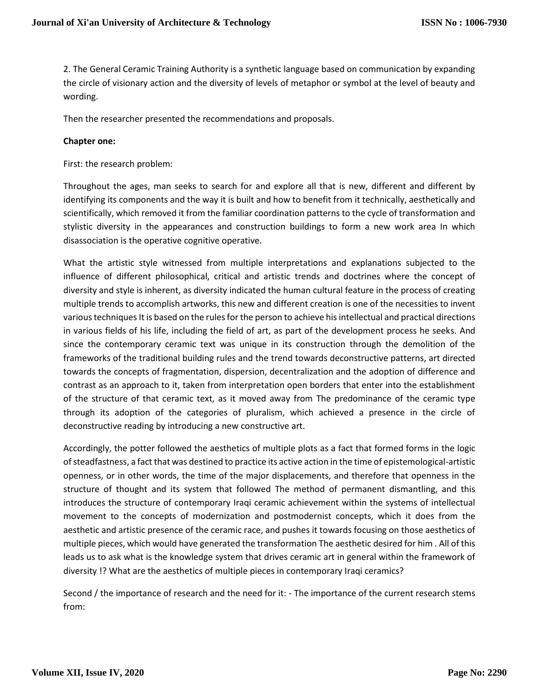2. The General Ceramic Training Authority is a synthetic language based on communication by expanding the circle of visionary action and the diversity of levels of metaphor or symbol at the level of beauty and wording.

Then the researcher presented the recommendations and proposals.

#### **Chapter one:**

First: the research problem:

Throughout the ages, man seeks to search for and explore all that is new, different and different by identifying its components and the way it is built and how to benefit from it technically, aesthetically and scientifically, which removed it from the familiar coordination patterns to the cycle of transformation and stylistic diversity in the appearances and construction buildings to form a new work area In which disassociation is the operative cognitive operative.

What the artistic style witnessed from multiple interpretations and explanations subjected to the influence of different philosophical, critical and artistic trends and doctrines where the concept of diversity and style is inherent, as diversity indicated the human cultural feature in the process of creating multiple trends to accomplish artworks, this new and different creation is one of the necessities to invent various techniques It is based on the rules for the person to achieve his intellectual and practical directions in various fields of his life, including the field of art, as part of the development process he seeks. And since the contemporary ceramic text was unique in its construction through the demolition of the frameworks of the traditional building rules and the trend towards deconstructive patterns, art directed towards the concepts of fragmentation, dispersion, decentralization and the adoption of difference and contrast as an approach to it, taken from interpretation open borders that enter into the establishment of the structure of that ceramic text, as it moved away from The predominance of the ceramic type through its adoption of the categories of pluralism, which achieved a presence in the circle of deconstructive reading by introducing a new constructive art.

Accordingly, the potter followed the aesthetics of multiple plots as a fact that formed forms in the logic of steadfastness, a fact that was destined to practice its active action in the time of epistemological-artistic openness, or in other words, the time of the major displacements, and therefore that openness in the structure of thought and its system that followed The method of permanent dismantling, and this introduces the structure of contemporary Iraqi ceramic achievement within the systems of intellectual movement to the concepts of modernization and postmodernist concepts, which it does from the aesthetic and artistic presence of the ceramic race, and pushes it towards focusing on those aesthetics of multiple pieces, which would have generated the transformation The aesthetic desired for him . All of this leads us to ask what is the knowledge system that drives ceramic art in general within the framework of diversity !? What are the aesthetics of multiple pieces in contemporary Iraqi ceramics?

Second / the importance of research and the need for it: - The importance of the current research stems from: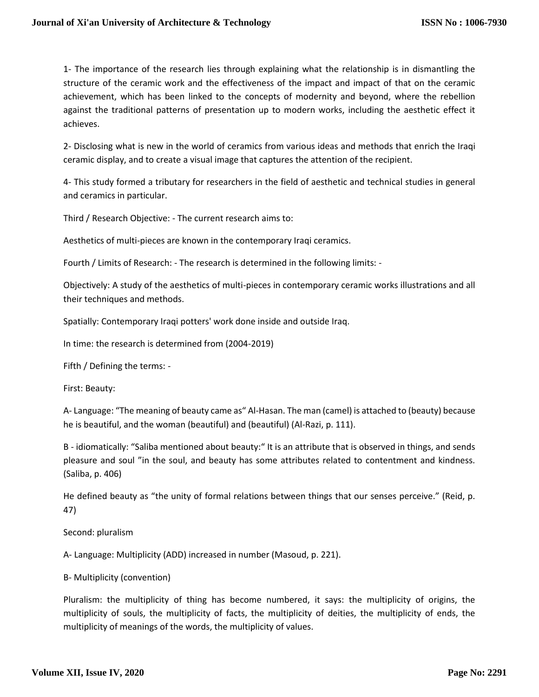1- The importance of the research lies through explaining what the relationship is in dismantling the structure of the ceramic work and the effectiveness of the impact and impact of that on the ceramic achievement, which has been linked to the concepts of modernity and beyond, where the rebellion against the traditional patterns of presentation up to modern works, including the aesthetic effect it achieves.

2- Disclosing what is new in the world of ceramics from various ideas and methods that enrich the Iraqi ceramic display, and to create a visual image that captures the attention of the recipient.

4- This study formed a tributary for researchers in the field of aesthetic and technical studies in general and ceramics in particular.

Third / Research Objective: - The current research aims to:

Aesthetics of multi-pieces are known in the contemporary Iraqi ceramics.

Fourth / Limits of Research: - The research is determined in the following limits: -

Objectively: A study of the aesthetics of multi-pieces in contemporary ceramic works illustrations and all their techniques and methods.

Spatially: Contemporary Iraqi potters' work done inside and outside Iraq.

In time: the research is determined from (2004-2019)

Fifth / Defining the terms: -

First: Beauty:

A- Language: "The meaning of beauty came as" Al-Hasan. The man (camel) is attached to (beauty) because he is beautiful, and the woman (beautiful) and (beautiful) (Al-Razi, p. 111).

B - idiomatically: "Saliba mentioned about beauty:" It is an attribute that is observed in things, and sends pleasure and soul "in the soul, and beauty has some attributes related to contentment and kindness. (Saliba, p. 406)

He defined beauty as "the unity of formal relations between things that our senses perceive." (Reid, p. 47)

Second: pluralism

A- Language: Multiplicity (ADD) increased in number (Masoud, p. 221).

B- Multiplicity (convention)

Pluralism: the multiplicity of thing has become numbered, it says: the multiplicity of origins, the multiplicity of souls, the multiplicity of facts, the multiplicity of deities, the multiplicity of ends, the multiplicity of meanings of the words, the multiplicity of values.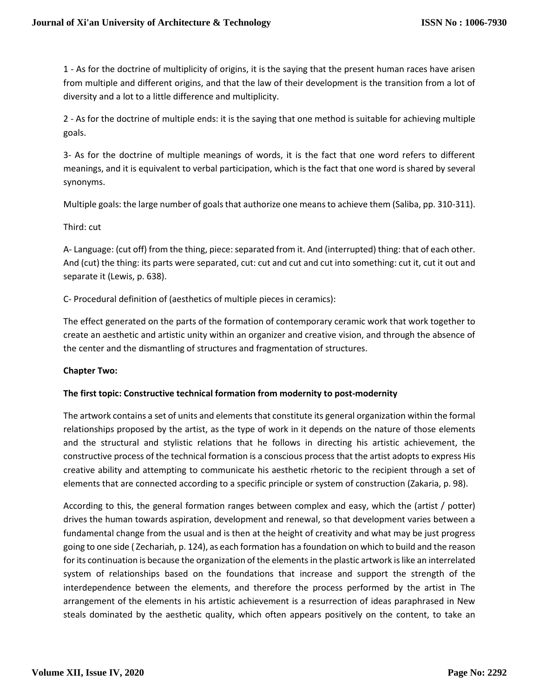1 - As for the doctrine of multiplicity of origins, it is the saying that the present human races have arisen from multiple and different origins, and that the law of their development is the transition from a lot of diversity and a lot to a little difference and multiplicity.

2 - As for the doctrine of multiple ends: it is the saying that one method is suitable for achieving multiple goals.

3- As for the doctrine of multiple meanings of words, it is the fact that one word refers to different meanings, and it is equivalent to verbal participation, which is the fact that one word is shared by several synonyms.

Multiple goals: the large number of goals that authorize one means to achieve them (Saliba, pp. 310-311).

# Third: cut

A- Language: (cut off) from the thing, piece: separated from it. And (interrupted) thing: that of each other. And (cut) the thing: its parts were separated, cut: cut and cut and cut into something: cut it, cut it out and separate it (Lewis, p. 638).

C- Procedural definition of (aesthetics of multiple pieces in ceramics):

The effect generated on the parts of the formation of contemporary ceramic work that work together to create an aesthetic and artistic unity within an organizer and creative vision, and through the absence of the center and the dismantling of structures and fragmentation of structures.

# **Chapter Two:**

# **The first topic: Constructive technical formation from modernity to post-modernity**

The artwork contains a set of units and elements that constitute its general organization within the formal relationships proposed by the artist, as the type of work in it depends on the nature of those elements and the structural and stylistic relations that he follows in directing his artistic achievement, the constructive process of the technical formation is a conscious process that the artist adopts to express His creative ability and attempting to communicate his aesthetic rhetoric to the recipient through a set of elements that are connected according to a specific principle or system of construction (Zakaria, p. 98).

According to this, the general formation ranges between complex and easy, which the (artist / potter) drives the human towards aspiration, development and renewal, so that development varies between a fundamental change from the usual and is then at the height of creativity and what may be just progress going to one side ( Zechariah, p. 124), as each formation has a foundation on which to build and the reason for its continuation is because the organization of the elements in the plastic artwork is like an interrelated system of relationships based on the foundations that increase and support the strength of the interdependence between the elements, and therefore the process performed by the artist in The arrangement of the elements in his artistic achievement is a resurrection of ideas paraphrased in New steals dominated by the aesthetic quality, which often appears positively on the content, to take an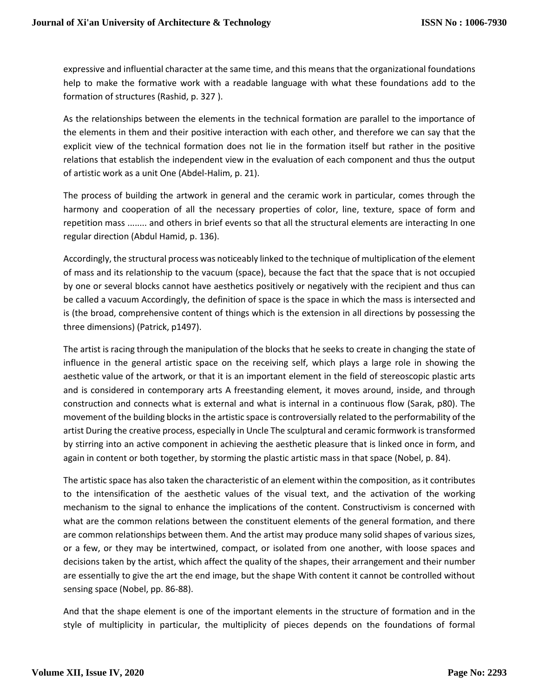expressive and influential character at the same time, and this means that the organizational foundations help to make the formative work with a readable language with what these foundations add to the formation of structures (Rashid, p. 327 ).

As the relationships between the elements in the technical formation are parallel to the importance of the elements in them and their positive interaction with each other, and therefore we can say that the explicit view of the technical formation does not lie in the formation itself but rather in the positive relations that establish the independent view in the evaluation of each component and thus the output of artistic work as a unit One (Abdel-Halim, p. 21).

The process of building the artwork in general and the ceramic work in particular, comes through the harmony and cooperation of all the necessary properties of color, line, texture, space of form and repetition mass ........ and others in brief events so that all the structural elements are interacting In one regular direction (Abdul Hamid, p. 136).

Accordingly, the structural process was noticeably linked to the technique of multiplication of the element of mass and its relationship to the vacuum (space), because the fact that the space that is not occupied by one or several blocks cannot have aesthetics positively or negatively with the recipient and thus can be called a vacuum Accordingly, the definition of space is the space in which the mass is intersected and is (the broad, comprehensive content of things which is the extension in all directions by possessing the three dimensions) (Patrick, p1497).

The artist is racing through the manipulation of the blocks that he seeks to create in changing the state of influence in the general artistic space on the receiving self, which plays a large role in showing the aesthetic value of the artwork, or that it is an important element in the field of stereoscopic plastic arts and is considered in contemporary arts A freestanding element, it moves around, inside, and through construction and connects what is external and what is internal in a continuous flow (Sarak, p80). The movement of the building blocks in the artistic space is controversially related to the performability of the artist During the creative process, especially in Uncle The sculptural and ceramic formwork is transformed by stirring into an active component in achieving the aesthetic pleasure that is linked once in form, and again in content or both together, by storming the plastic artistic mass in that space (Nobel, p. 84).

The artistic space has also taken the characteristic of an element within the composition, as it contributes to the intensification of the aesthetic values of the visual text, and the activation of the working mechanism to the signal to enhance the implications of the content. Constructivism is concerned with what are the common relations between the constituent elements of the general formation, and there are common relationships between them. And the artist may produce many solid shapes of various sizes, or a few, or they may be intertwined, compact, or isolated from one another, with loose spaces and decisions taken by the artist, which affect the quality of the shapes, their arrangement and their number are essentially to give the art the end image, but the shape With content it cannot be controlled without sensing space (Nobel, pp. 86-88).

And that the shape element is one of the important elements in the structure of formation and in the style of multiplicity in particular, the multiplicity of pieces depends on the foundations of formal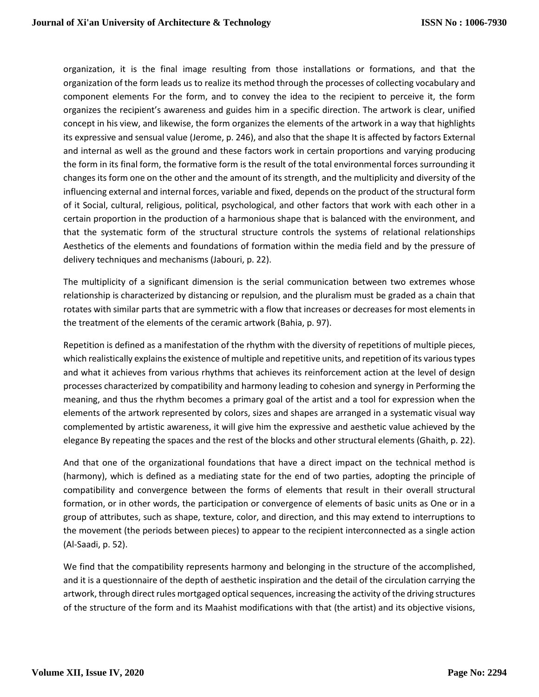organization, it is the final image resulting from those installations or formations, and that the organization of the form leads us to realize its method through the processes of collecting vocabulary and component elements For the form, and to convey the idea to the recipient to perceive it, the form organizes the recipient's awareness and guides him in a specific direction. The artwork is clear, unified concept in his view, and likewise, the form organizes the elements of the artwork in a way that highlights its expressive and sensual value (Jerome, p. 246), and also that the shape It is affected by factors External and internal as well as the ground and these factors work in certain proportions and varying producing the form in its final form, the formative form is the result of the total environmental forces surrounding it changes its form one on the other and the amount of its strength, and the multiplicity and diversity of the influencing external and internal forces, variable and fixed, depends on the product of the structural form of it Social, cultural, religious, political, psychological, and other factors that work with each other in a certain proportion in the production of a harmonious shape that is balanced with the environment, and that the systematic form of the structural structure controls the systems of relational relationships Aesthetics of the elements and foundations of formation within the media field and by the pressure of delivery techniques and mechanisms (Jabouri, p. 22).

The multiplicity of a significant dimension is the serial communication between two extremes whose relationship is characterized by distancing or repulsion, and the pluralism must be graded as a chain that rotates with similar parts that are symmetric with a flow that increases or decreases for most elements in the treatment of the elements of the ceramic artwork (Bahia, p. 97).

Repetition is defined as a manifestation of the rhythm with the diversity of repetitions of multiple pieces, which realistically explains the existence of multiple and repetitive units, and repetition of its various types and what it achieves from various rhythms that achieves its reinforcement action at the level of design processes characterized by compatibility and harmony leading to cohesion and synergy in Performing the meaning, and thus the rhythm becomes a primary goal of the artist and a tool for expression when the elements of the artwork represented by colors, sizes and shapes are arranged in a systematic visual way complemented by artistic awareness, it will give him the expressive and aesthetic value achieved by the elegance By repeating the spaces and the rest of the blocks and other structural elements (Ghaith, p. 22).

And that one of the organizational foundations that have a direct impact on the technical method is (harmony), which is defined as a mediating state for the end of two parties, adopting the principle of compatibility and convergence between the forms of elements that result in their overall structural formation, or in other words, the participation or convergence of elements of basic units as One or in a group of attributes, such as shape, texture, color, and direction, and this may extend to interruptions to the movement (the periods between pieces) to appear to the recipient interconnected as a single action (Al-Saadi, p. 52).

We find that the compatibility represents harmony and belonging in the structure of the accomplished, and it is a questionnaire of the depth of aesthetic inspiration and the detail of the circulation carrying the artwork, through direct rules mortgaged optical sequences, increasing the activity of the driving structures of the structure of the form and its Maahist modifications with that (the artist) and its objective visions,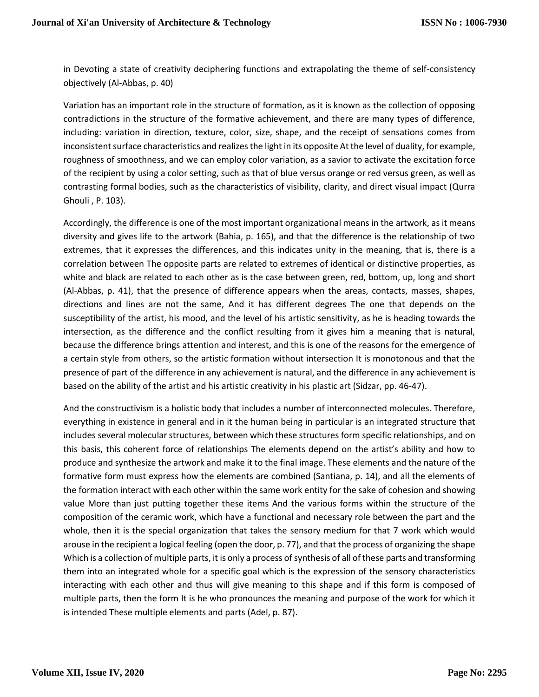in Devoting a state of creativity deciphering functions and extrapolating the theme of self-consistency objectively (Al-Abbas, p. 40)

Variation has an important role in the structure of formation, as it is known as the collection of opposing contradictions in the structure of the formative achievement, and there are many types of difference, including: variation in direction, texture, color, size, shape, and the receipt of sensations comes from inconsistent surface characteristics and realizes the light in its opposite At the level of duality, for example, roughness of smoothness, and we can employ color variation, as a savior to activate the excitation force of the recipient by using a color setting, such as that of blue versus orange or red versus green, as well as contrasting formal bodies, such as the characteristics of visibility, clarity, and direct visual impact (Qurra Ghouli , P. 103).

Accordingly, the difference is one of the most important organizational means in the artwork, as it means diversity and gives life to the artwork (Bahia, p. 165), and that the difference is the relationship of two extremes, that it expresses the differences, and this indicates unity in the meaning, that is, there is a correlation between The opposite parts are related to extremes of identical or distinctive properties, as white and black are related to each other as is the case between green, red, bottom, up, long and short (Al-Abbas, p. 41), that the presence of difference appears when the areas, contacts, masses, shapes, directions and lines are not the same, And it has different degrees The one that depends on the susceptibility of the artist, his mood, and the level of his artistic sensitivity, as he is heading towards the intersection, as the difference and the conflict resulting from it gives him a meaning that is natural, because the difference brings attention and interest, and this is one of the reasons for the emergence of a certain style from others, so the artistic formation without intersection It is monotonous and that the presence of part of the difference in any achievement is natural, and the difference in any achievement is based on the ability of the artist and his artistic creativity in his plastic art (Sidzar, pp. 46-47).

And the constructivism is a holistic body that includes a number of interconnected molecules. Therefore, everything in existence in general and in it the human being in particular is an integrated structure that includes several molecular structures, between which these structures form specific relationships, and on this basis, this coherent force of relationships The elements depend on the artist's ability and how to produce and synthesize the artwork and make it to the final image. These elements and the nature of the formative form must express how the elements are combined (Santiana, p. 14), and all the elements of the formation interact with each other within the same work entity for the sake of cohesion and showing value More than just putting together these items And the various forms within the structure of the composition of the ceramic work, which have a functional and necessary role between the part and the whole, then it is the special organization that takes the sensory medium for that 7 work which would arouse in the recipient a logical feeling (open the door, p. 77), and that the process of organizing the shape Which is a collection of multiple parts, it is only a process of synthesis of all of these parts and transforming them into an integrated whole for a specific goal which is the expression of the sensory characteristics interacting with each other and thus will give meaning to this shape and if this form is composed of multiple parts, then the form It is he who pronounces the meaning and purpose of the work for which it is intended These multiple elements and parts (Adel, p. 87).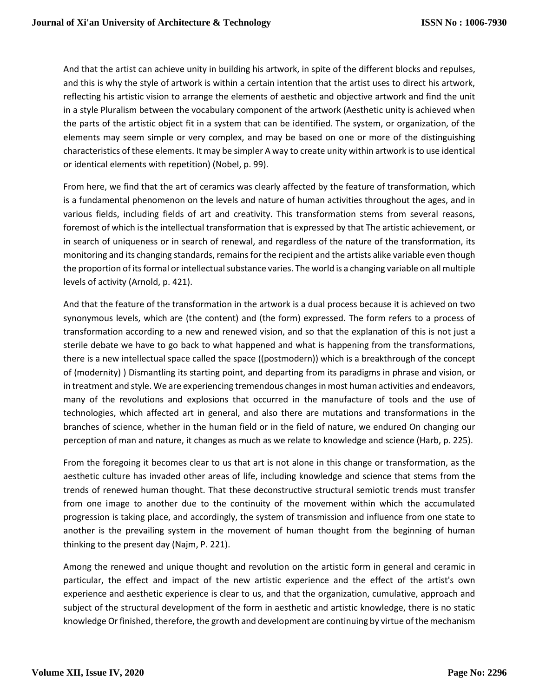And that the artist can achieve unity in building his artwork, in spite of the different blocks and repulses, and this is why the style of artwork is within a certain intention that the artist uses to direct his artwork, reflecting his artistic vision to arrange the elements of aesthetic and objective artwork and find the unit in a style Pluralism between the vocabulary component of the artwork (Aesthetic unity is achieved when the parts of the artistic object fit in a system that can be identified. The system, or organization, of the elements may seem simple or very complex, and may be based on one or more of the distinguishing characteristics of these elements. It may be simpler A way to create unity within artwork is to use identical or identical elements with repetition) (Nobel, p. 99).

From here, we find that the art of ceramics was clearly affected by the feature of transformation, which is a fundamental phenomenon on the levels and nature of human activities throughout the ages, and in various fields, including fields of art and creativity. This transformation stems from several reasons, foremost of which is the intellectual transformation that is expressed by that The artistic achievement, or in search of uniqueness or in search of renewal, and regardless of the nature of the transformation, its monitoring and its changing standards, remains for the recipient and the artists alike variable even though the proportion of its formal or intellectual substance varies. The world is a changing variable on all multiple levels of activity (Arnold, p. 421).

And that the feature of the transformation in the artwork is a dual process because it is achieved on two synonymous levels, which are (the content) and (the form) expressed. The form refers to a process of transformation according to a new and renewed vision, and so that the explanation of this is not just a sterile debate we have to go back to what happened and what is happening from the transformations, there is a new intellectual space called the space ((postmodern)) which is a breakthrough of the concept of (modernity) ) Dismantling its starting point, and departing from its paradigms in phrase and vision, or in treatment and style. We are experiencing tremendous changes in most human activities and endeavors, many of the revolutions and explosions that occurred in the manufacture of tools and the use of technologies, which affected art in general, and also there are mutations and transformations in the branches of science, whether in the human field or in the field of nature, we endured On changing our perception of man and nature, it changes as much as we relate to knowledge and science (Harb, p. 225).

From the foregoing it becomes clear to us that art is not alone in this change or transformation, as the aesthetic culture has invaded other areas of life, including knowledge and science that stems from the trends of renewed human thought. That these deconstructive structural semiotic trends must transfer from one image to another due to the continuity of the movement within which the accumulated progression is taking place, and accordingly, the system of transmission and influence from one state to another is the prevailing system in the movement of human thought from the beginning of human thinking to the present day (Najm, P. 221).

Among the renewed and unique thought and revolution on the artistic form in general and ceramic in particular, the effect and impact of the new artistic experience and the effect of the artist's own experience and aesthetic experience is clear to us, and that the organization, cumulative, approach and subject of the structural development of the form in aesthetic and artistic knowledge, there is no static knowledge Or finished, therefore, the growth and development are continuing by virtue of the mechanism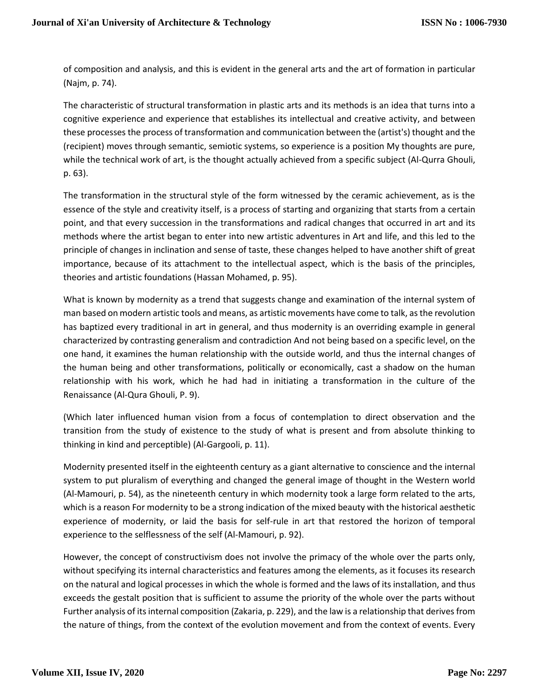of composition and analysis, and this is evident in the general arts and the art of formation in particular (Najm, p. 74).

The characteristic of structural transformation in plastic arts and its methods is an idea that turns into a cognitive experience and experience that establishes its intellectual and creative activity, and between these processes the process of transformation and communication between the (artist's) thought and the (recipient) moves through semantic, semiotic systems, so experience is a position My thoughts are pure, while the technical work of art, is the thought actually achieved from a specific subject (Al-Qurra Ghouli, p. 63).

The transformation in the structural style of the form witnessed by the ceramic achievement, as is the essence of the style and creativity itself, is a process of starting and organizing that starts from a certain point, and that every succession in the transformations and radical changes that occurred in art and its methods where the artist began to enter into new artistic adventures in Art and life, and this led to the principle of changes in inclination and sense of taste, these changes helped to have another shift of great importance, because of its attachment to the intellectual aspect, which is the basis of the principles, theories and artistic foundations (Hassan Mohamed, p. 95).

What is known by modernity as a trend that suggests change and examination of the internal system of man based on modern artistic tools and means, as artistic movements have come to talk, as the revolution has baptized every traditional in art in general, and thus modernity is an overriding example in general characterized by contrasting generalism and contradiction And not being based on a specific level, on the one hand, it examines the human relationship with the outside world, and thus the internal changes of the human being and other transformations, politically or economically, cast a shadow on the human relationship with his work, which he had had in initiating a transformation in the culture of the Renaissance (Al-Qura Ghouli, P. 9).

(Which later influenced human vision from a focus of contemplation to direct observation and the transition from the study of existence to the study of what is present and from absolute thinking to thinking in kind and perceptible) (Al-Gargooli, p. 11).

Modernity presented itself in the eighteenth century as a giant alternative to conscience and the internal system to put pluralism of everything and changed the general image of thought in the Western world (Al-Mamouri, p. 54), as the nineteenth century in which modernity took a large form related to the arts, which is a reason For modernity to be a strong indication of the mixed beauty with the historical aesthetic experience of modernity, or laid the basis for self-rule in art that restored the horizon of temporal experience to the selflessness of the self (Al-Mamouri, p. 92).

However, the concept of constructivism does not involve the primacy of the whole over the parts only, without specifying its internal characteristics and features among the elements, as it focuses its research on the natural and logical processes in which the whole is formed and the laws of its installation, and thus exceeds the gestalt position that is sufficient to assume the priority of the whole over the parts without Further analysis of its internal composition (Zakaria, p. 229), and the law is a relationship that derives from the nature of things, from the context of the evolution movement and from the context of events. Every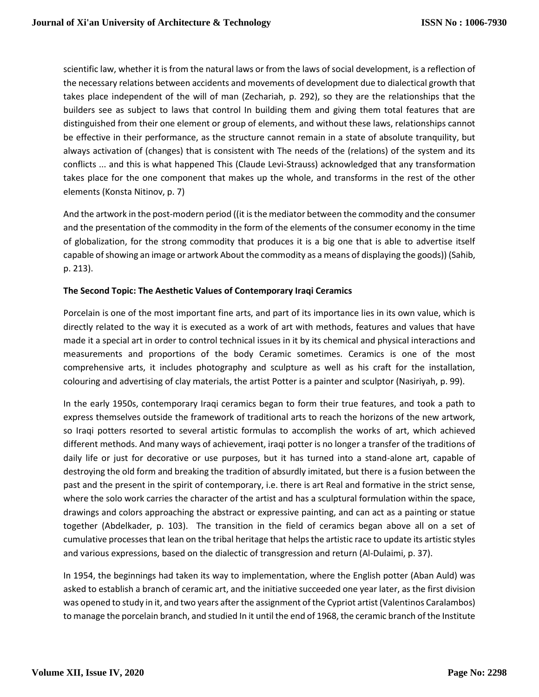scientific law, whether it is from the natural laws or from the laws of social development, is a reflection of the necessary relations between accidents and movements of development due to dialectical growth that takes place independent of the will of man (Zechariah, p. 292), so they are the relationships that the builders see as subject to laws that control In building them and giving them total features that are distinguished from their one element or group of elements, and without these laws, relationships cannot be effective in their performance, as the structure cannot remain in a state of absolute tranquility, but always activation of (changes) that is consistent with The needs of the (relations) of the system and its conflicts ... and this is what happened This (Claude Levi-Strauss) acknowledged that any transformation takes place for the one component that makes up the whole, and transforms in the rest of the other elements (Konsta Nitinov, p. 7)

And the artwork in the post-modern period ((it is the mediator between the commodity and the consumer and the presentation of the commodity in the form of the elements of the consumer economy in the time of globalization, for the strong commodity that produces it is a big one that is able to advertise itself capable of showing an image or artwork About the commodity as a means of displaying the goods)) (Sahib, p. 213).

# **The Second Topic: The Aesthetic Values of Contemporary Iraqi Ceramics**

Porcelain is one of the most important fine arts, and part of its importance lies in its own value, which is directly related to the way it is executed as a work of art with methods, features and values that have made it a special art in order to control technical issues in it by its chemical and physical interactions and measurements and proportions of the body Ceramic sometimes. Ceramics is one of the most comprehensive arts, it includes photography and sculpture as well as his craft for the installation, colouring and advertising of clay materials, the artist Potter is a painter and sculptor (Nasiriyah, p. 99).

In the early 1950s, contemporary Iraqi ceramics began to form their true features, and took a path to express themselves outside the framework of traditional arts to reach the horizons of the new artwork, so Iraqi potters resorted to several artistic formulas to accomplish the works of art, which achieved different methods. And many ways of achievement, iraqi potter is no longer a transfer of the traditions of daily life or just for decorative or use purposes, but it has turned into a stand-alone art, capable of destroying the old form and breaking the tradition of absurdly imitated, but there is a fusion between the past and the present in the spirit of contemporary, i.e. there is art Real and formative in the strict sense, where the solo work carries the character of the artist and has a sculptural formulation within the space, drawings and colors approaching the abstract or expressive painting, and can act as a painting or statue together (Abdelkader, p. 103). The transition in the field of ceramics began above all on a set of cumulative processes that lean on the tribal heritage that helps the artistic race to update its artistic styles and various expressions, based on the dialectic of transgression and return (Al-Dulaimi, p. 37).

In 1954, the beginnings had taken its way to implementation, where the English potter (Aban Auld) was asked to establish a branch of ceramic art, and the initiative succeeded one year later, as the first division was opened to study in it, and two years after the assignment of the Cypriot artist (Valentinos Caralambos) to manage the porcelain branch, and studied In it until the end of 1968, the ceramic branch of the Institute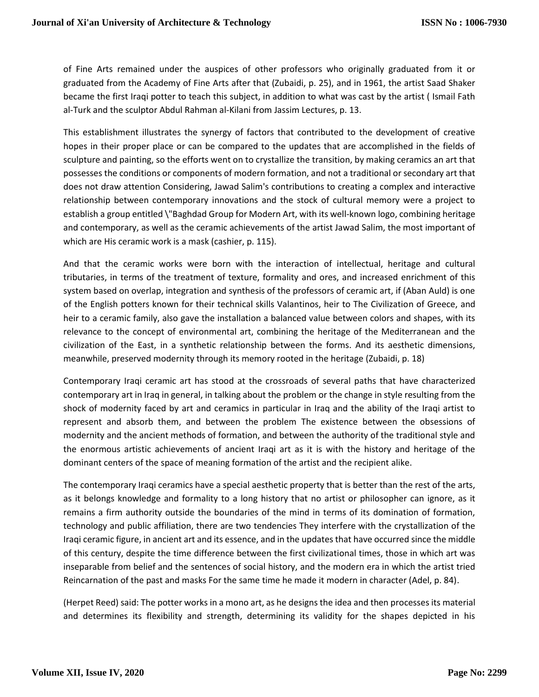of Fine Arts remained under the auspices of other professors who originally graduated from it or graduated from the Academy of Fine Arts after that (Zubaidi, p. 25), and in 1961, the artist Saad Shaker became the first Iraqi potter to teach this subject, in addition to what was cast by the artist ( Ismail Fath al-Turk and the sculptor Abdul Rahman al-Kilani from Jassim Lectures, p. 13.

This establishment illustrates the synergy of factors that contributed to the development of creative hopes in their proper place or can be compared to the updates that are accomplished in the fields of sculpture and painting, so the efforts went on to crystallize the transition, by making ceramics an art that possesses the conditions or components of modern formation, and not a traditional or secondary art that does not draw attention Considering, Jawad Salim's contributions to creating a complex and interactive relationship between contemporary innovations and the stock of cultural memory were a project to establish a group entitled \"Baghdad Group for Modern Art, with its well-known logo, combining heritage and contemporary, as well as the ceramic achievements of the artist Jawad Salim, the most important of which are His ceramic work is a mask (cashier, p. 115).

And that the ceramic works were born with the interaction of intellectual, heritage and cultural tributaries, in terms of the treatment of texture, formality and ores, and increased enrichment of this system based on overlap, integration and synthesis of the professors of ceramic art, if (Aban Auld) is one of the English potters known for their technical skills Valantinos, heir to The Civilization of Greece, and heir to a ceramic family, also gave the installation a balanced value between colors and shapes, with its relevance to the concept of environmental art, combining the heritage of the Mediterranean and the civilization of the East, in a synthetic relationship between the forms. And its aesthetic dimensions, meanwhile, preserved modernity through its memory rooted in the heritage (Zubaidi, p. 18)

Contemporary Iraqi ceramic art has stood at the crossroads of several paths that have characterized contemporary art in Iraq in general, in talking about the problem or the change in style resulting from the shock of modernity faced by art and ceramics in particular in Iraq and the ability of the Iraqi artist to represent and absorb them, and between the problem The existence between the obsessions of modernity and the ancient methods of formation, and between the authority of the traditional style and the enormous artistic achievements of ancient Iraqi art as it is with the history and heritage of the dominant centers of the space of meaning formation of the artist and the recipient alike.

The contemporary Iraqi ceramics have a special aesthetic property that is better than the rest of the arts, as it belongs knowledge and formality to a long history that no artist or philosopher can ignore, as it remains a firm authority outside the boundaries of the mind in terms of its domination of formation, technology and public affiliation, there are two tendencies They interfere with the crystallization of the Iraqi ceramic figure, in ancient art and its essence, and in the updates that have occurred since the middle of this century, despite the time difference between the first civilizational times, those in which art was inseparable from belief and the sentences of social history, and the modern era in which the artist tried Reincarnation of the past and masks For the same time he made it modern in character (Adel, p. 84).

(Herpet Reed) said: The potter works in a mono art, as he designs the idea and then processes its material and determines its flexibility and strength, determining its validity for the shapes depicted in his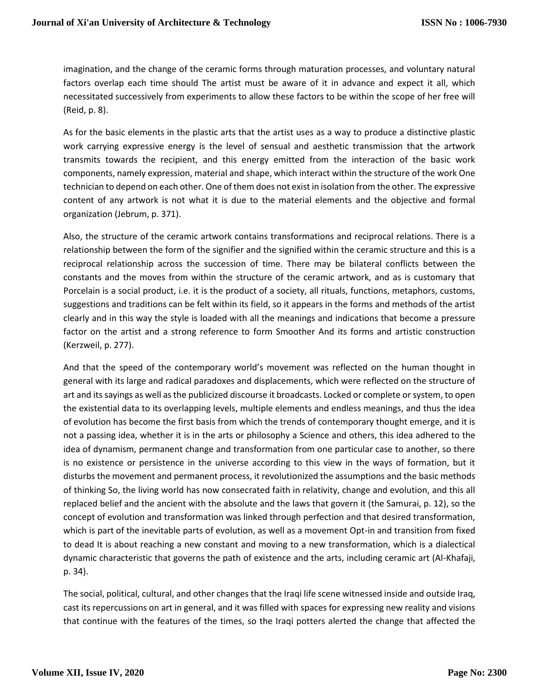imagination, and the change of the ceramic forms through maturation processes, and voluntary natural factors overlap each time should The artist must be aware of it in advance and expect it all, which necessitated successively from experiments to allow these factors to be within the scope of her free will (Reid, p. 8).

As for the basic elements in the plastic arts that the artist uses as a way to produce a distinctive plastic work carrying expressive energy is the level of sensual and aesthetic transmission that the artwork transmits towards the recipient, and this energy emitted from the interaction of the basic work components, namely expression, material and shape, which interact within the structure of the work One technician to depend on each other. One of them does not exist in isolation from the other. The expressive content of any artwork is not what it is due to the material elements and the objective and formal organization (Jebrum, p. 371).

Also, the structure of the ceramic artwork contains transformations and reciprocal relations. There is a relationship between the form of the signifier and the signified within the ceramic structure and this is a reciprocal relationship across the succession of time. There may be bilateral conflicts between the constants and the moves from within the structure of the ceramic artwork, and as is customary that Porcelain is a social product, i.e. it is the product of a society, all rituals, functions, metaphors, customs, suggestions and traditions can be felt within its field, so it appears in the forms and methods of the artist clearly and in this way the style is loaded with all the meanings and indications that become a pressure factor on the artist and a strong reference to form Smoother And its forms and artistic construction (Kerzweil, p. 277).

And that the speed of the contemporary world's movement was reflected on the human thought in general with its large and radical paradoxes and displacements, which were reflected on the structure of art and its sayings as well as the publicized discourse it broadcasts. Locked or complete or system, to open the existential data to its overlapping levels, multiple elements and endless meanings, and thus the idea of evolution has become the first basis from which the trends of contemporary thought emerge, and it is not a passing idea, whether it is in the arts or philosophy a Science and others, this idea adhered to the idea of dynamism, permanent change and transformation from one particular case to another, so there is no existence or persistence in the universe according to this view in the ways of formation, but it disturbs the movement and permanent process, it revolutionized the assumptions and the basic methods of thinking So, the living world has now consecrated faith in relativity, change and evolution, and this all replaced belief and the ancient with the absolute and the laws that govern it (the Samurai, p. 12), so the concept of evolution and transformation was linked through perfection and that desired transformation, which is part of the inevitable parts of evolution, as well as a movement Opt-in and transition from fixed to dead It is about reaching a new constant and moving to a new transformation, which is a dialectical dynamic characteristic that governs the path of existence and the arts, including ceramic art (Al-Khafaji, p. 34).

The social, political, cultural, and other changes that the Iraqi life scene witnessed inside and outside Iraq, cast its repercussions on art in general, and it was filled with spaces for expressing new reality and visions that continue with the features of the times, so the Iraqi potters alerted the change that affected the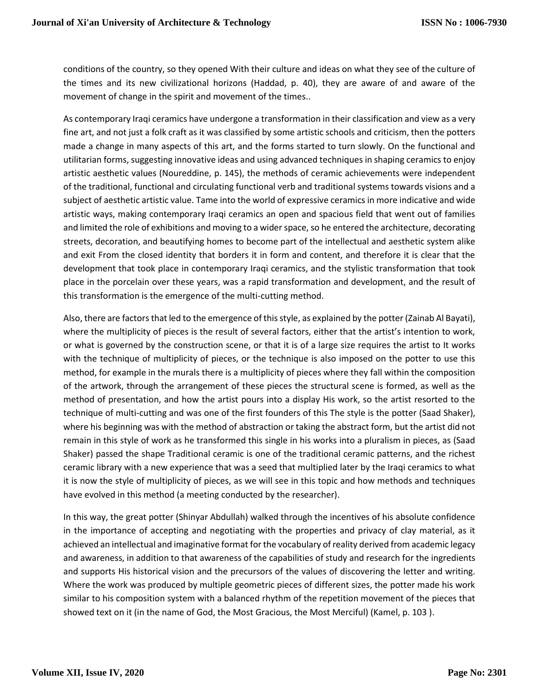conditions of the country, so they opened With their culture and ideas on what they see of the culture of the times and its new civilizational horizons (Haddad, p. 40), they are aware of and aware of the movement of change in the spirit and movement of the times..

As contemporary Iraqi ceramics have undergone a transformation in their classification and view as a very fine art, and not just a folk craft as it was classified by some artistic schools and criticism, then the potters made a change in many aspects of this art, and the forms started to turn slowly. On the functional and utilitarian forms, suggesting innovative ideas and using advanced techniques in shaping ceramics to enjoy artistic aesthetic values (Noureddine, p. 145), the methods of ceramic achievements were independent of the traditional, functional and circulating functional verb and traditional systems towards visions and a subject of aesthetic artistic value. Tame into the world of expressive ceramics in more indicative and wide artistic ways, making contemporary Iraqi ceramics an open and spacious field that went out of families and limited the role of exhibitions and moving to a wider space, so he entered the architecture, decorating streets, decoration, and beautifying homes to become part of the intellectual and aesthetic system alike and exit From the closed identity that borders it in form and content, and therefore it is clear that the development that took place in contemporary Iraqi ceramics, and the stylistic transformation that took place in the porcelain over these years, was a rapid transformation and development, and the result of this transformation is the emergence of the multi-cutting method.

Also, there are factors that led to the emergence of this style, as explained by the potter (Zainab Al Bayati), where the multiplicity of pieces is the result of several factors, either that the artist's intention to work, or what is governed by the construction scene, or that it is of a large size requires the artist to It works with the technique of multiplicity of pieces, or the technique is also imposed on the potter to use this method, for example in the murals there is a multiplicity of pieces where they fall within the composition of the artwork, through the arrangement of these pieces the structural scene is formed, as well as the method of presentation, and how the artist pours into a display His work, so the artist resorted to the technique of multi-cutting and was one of the first founders of this The style is the potter (Saad Shaker), where his beginning was with the method of abstraction or taking the abstract form, but the artist did not remain in this style of work as he transformed this single in his works into a pluralism in pieces, as (Saad Shaker) passed the shape Traditional ceramic is one of the traditional ceramic patterns, and the richest ceramic library with a new experience that was a seed that multiplied later by the Iraqi ceramics to what it is now the style of multiplicity of pieces, as we will see in this topic and how methods and techniques have evolved in this method (a meeting conducted by the researcher).

In this way, the great potter (Shinyar Abdullah) walked through the incentives of his absolute confidence in the importance of accepting and negotiating with the properties and privacy of clay material, as it achieved an intellectual and imaginative format for the vocabulary of reality derived from academic legacy and awareness, in addition to that awareness of the capabilities of study and research for the ingredients and supports His historical vision and the precursors of the values of discovering the letter and writing. Where the work was produced by multiple geometric pieces of different sizes, the potter made his work similar to his composition system with a balanced rhythm of the repetition movement of the pieces that showed text on it (in the name of God, the Most Gracious, the Most Merciful) (Kamel, p. 103 ).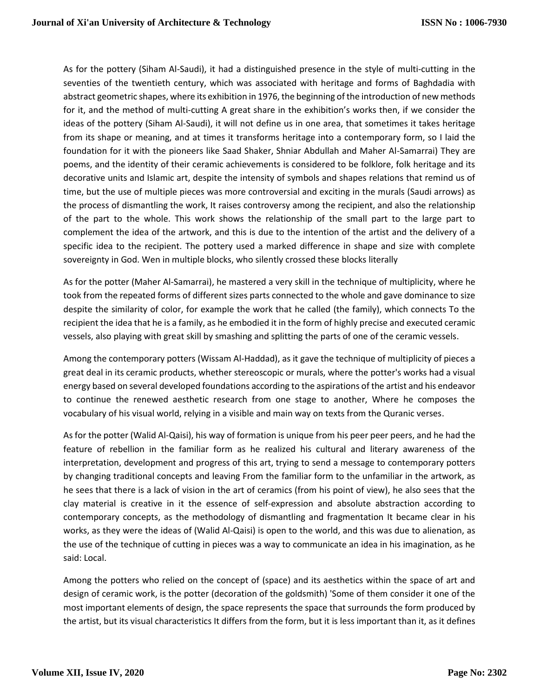As for the pottery (Siham Al-Saudi), it had a distinguished presence in the style of multi-cutting in the seventies of the twentieth century, which was associated with heritage and forms of Baghdadia with abstract geometric shapes, where its exhibition in 1976, the beginning of the introduction of new methods for it, and the method of multi-cutting A great share in the exhibition's works then, if we consider the ideas of the pottery (Siham Al-Saudi), it will not define us in one area, that sometimes it takes heritage from its shape or meaning, and at times it transforms heritage into a contemporary form, so I laid the foundation for it with the pioneers like Saad Shaker, Shniar Abdullah and Maher Al-Samarrai) They are poems, and the identity of their ceramic achievements is considered to be folklore, folk heritage and its decorative units and Islamic art, despite the intensity of symbols and shapes relations that remind us of time, but the use of multiple pieces was more controversial and exciting in the murals (Saudi arrows) as the process of dismantling the work, It raises controversy among the recipient, and also the relationship of the part to the whole. This work shows the relationship of the small part to the large part to complement the idea of the artwork, and this is due to the intention of the artist and the delivery of a specific idea to the recipient. The pottery used a marked difference in shape and size with complete sovereignty in God. Wen in multiple blocks, who silently crossed these blocks literally

As for the potter (Maher Al-Samarrai), he mastered a very skill in the technique of multiplicity, where he took from the repeated forms of different sizes parts connected to the whole and gave dominance to size despite the similarity of color, for example the work that he called (the family), which connects To the recipient the idea that he is a family, as he embodied it in the form of highly precise and executed ceramic vessels, also playing with great skill by smashing and splitting the parts of one of the ceramic vessels.

Among the contemporary potters (Wissam Al-Haddad), as it gave the technique of multiplicity of pieces a great deal in its ceramic products, whether stereoscopic or murals, where the potter's works had a visual energy based on several developed foundations according to the aspirations of the artist and his endeavor to continue the renewed aesthetic research from one stage to another, Where he composes the vocabulary of his visual world, relying in a visible and main way on texts from the Quranic verses.

As for the potter (Walid Al-Qaisi), his way of formation is unique from his peer peer peers, and he had the feature of rebellion in the familiar form as he realized his cultural and literary awareness of the interpretation, development and progress of this art, trying to send a message to contemporary potters by changing traditional concepts and leaving From the familiar form to the unfamiliar in the artwork, as he sees that there is a lack of vision in the art of ceramics (from his point of view), he also sees that the clay material is creative in it the essence of self-expression and absolute abstraction according to contemporary concepts, as the methodology of dismantling and fragmentation It became clear in his works, as they were the ideas of (Walid Al-Qaisi) is open to the world, and this was due to alienation, as the use of the technique of cutting in pieces was a way to communicate an idea in his imagination, as he said: Local.

Among the potters who relied on the concept of (space) and its aesthetics within the space of art and design of ceramic work, is the potter (decoration of the goldsmith) 'Some of them consider it one of the most important elements of design, the space represents the space that surrounds the form produced by the artist, but its visual characteristics It differs from the form, but it is less important than it, as it defines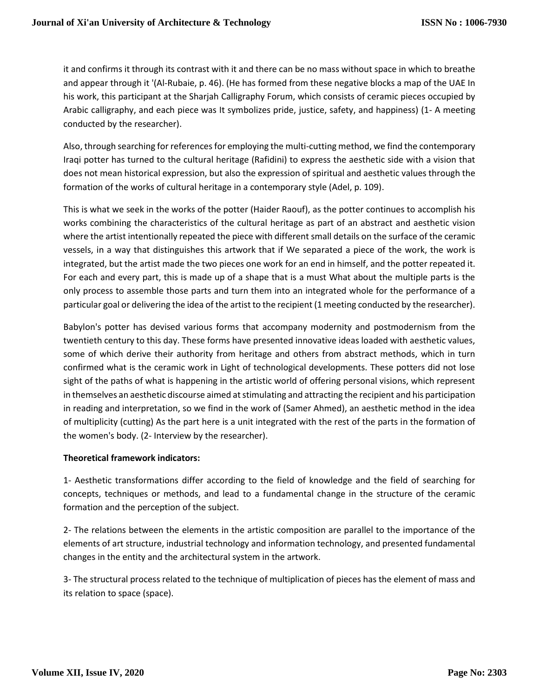it and confirms it through its contrast with it and there can be no mass without space in which to breathe and appear through it '(Al-Rubaie, p. 46). (He has formed from these negative blocks a map of the UAE In his work, this participant at the Sharjah Calligraphy Forum, which consists of ceramic pieces occupied by Arabic calligraphy, and each piece was It symbolizes pride, justice, safety, and happiness) (1- A meeting conducted by the researcher).

Also, through searching for references for employing the multi-cutting method, we find the contemporary Iraqi potter has turned to the cultural heritage (Rafidini) to express the aesthetic side with a vision that does not mean historical expression, but also the expression of spiritual and aesthetic values through the formation of the works of cultural heritage in a contemporary style (Adel, p. 109).

This is what we seek in the works of the potter (Haider Raouf), as the potter continues to accomplish his works combining the characteristics of the cultural heritage as part of an abstract and aesthetic vision where the artist intentionally repeated the piece with different small details on the surface of the ceramic vessels, in a way that distinguishes this artwork that if We separated a piece of the work, the work is integrated, but the artist made the two pieces one work for an end in himself, and the potter repeated it. For each and every part, this is made up of a shape that is a must What about the multiple parts is the only process to assemble those parts and turn them into an integrated whole for the performance of a particular goal or delivering the idea of the artist to the recipient (1 meeting conducted by the researcher).

Babylon's potter has devised various forms that accompany modernity and postmodernism from the twentieth century to this day. These forms have presented innovative ideas loaded with aesthetic values, some of which derive their authority from heritage and others from abstract methods, which in turn confirmed what is the ceramic work in Light of technological developments. These potters did not lose sight of the paths of what is happening in the artistic world of offering personal visions, which represent in themselves an aesthetic discourse aimed at stimulating and attracting the recipient and his participation in reading and interpretation, so we find in the work of (Samer Ahmed), an aesthetic method in the idea of multiplicity (cutting) As the part here is a unit integrated with the rest of the parts in the formation of the women's body. (2- Interview by the researcher).

# **Theoretical framework indicators:**

1- Aesthetic transformations differ according to the field of knowledge and the field of searching for concepts, techniques or methods, and lead to a fundamental change in the structure of the ceramic formation and the perception of the subject.

2- The relations between the elements in the artistic composition are parallel to the importance of the elements of art structure, industrial technology and information technology, and presented fundamental changes in the entity and the architectural system in the artwork.

3- The structural process related to the technique of multiplication of pieces has the element of mass and its relation to space (space).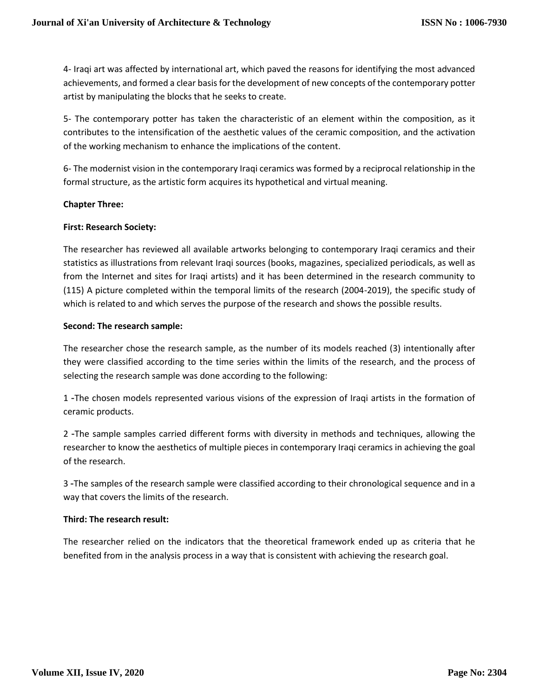4- Iraqi art was affected by international art, which paved the reasons for identifying the most advanced achievements, and formed a clear basis for the development of new concepts of the contemporary potter artist by manipulating the blocks that he seeks to create.

5- The contemporary potter has taken the characteristic of an element within the composition, as it contributes to the intensification of the aesthetic values of the ceramic composition, and the activation of the working mechanism to enhance the implications of the content.

6- The modernist vision in the contemporary Iraqi ceramics was formed by a reciprocal relationship in the formal structure, as the artistic form acquires its hypothetical and virtual meaning.

## **Chapter Three:**

## **First: Research Society:**

The researcher has reviewed all available artworks belonging to contemporary Iraqi ceramics and their statistics as illustrations from relevant Iraqi sources (books, magazines, specialized periodicals, as well as from the Internet and sites for Iraqi artists) and it has been determined in the research community to (115) A picture completed within the temporal limits of the research (2004-2019), the specific study of which is related to and which serves the purpose of the research and shows the possible results.

## **Second: The research sample:**

The researcher chose the research sample, as the number of its models reached (3) intentionally after they were classified according to the time series within the limits of the research, and the process of selecting the research sample was done according to the following:

1 -The chosen models represented various visions of the expression of Iraqi artists in the formation of ceramic products.

2 -The sample samples carried different forms with diversity in methods and techniques, allowing the researcher to know the aesthetics of multiple pieces in contemporary Iraqi ceramics in achieving the goal of the research.

3 -The samples of the research sample were classified according to their chronological sequence and in a way that covers the limits of the research.

# **Third: The research result:**

The researcher relied on the indicators that the theoretical framework ended up as criteria that he benefited from in the analysis process in a way that is consistent with achieving the research goal.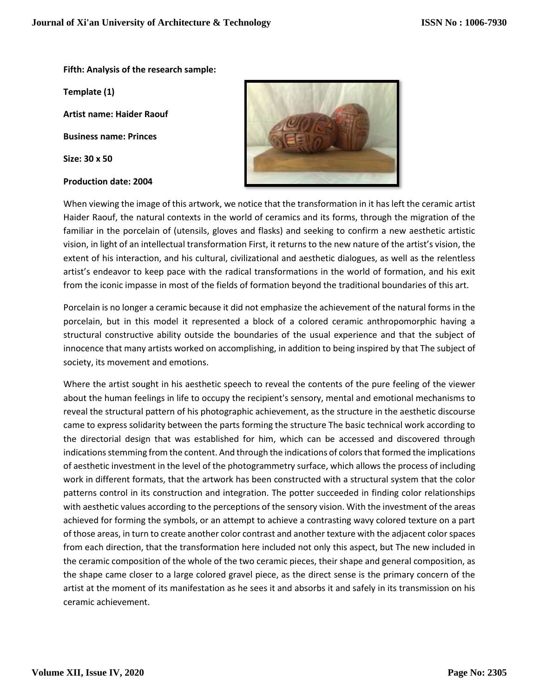## **Fifth: Analysis of the research sample:**

**Template (1)**

**Artist name: Haider Raouf**

**Business name: Princes**

**Size: 30 x 50**

#### **Production date: 2004**



When viewing the image of this artwork, we notice that the transformation in it has left the ceramic artist Haider Raouf, the natural contexts in the world of ceramics and its forms, through the migration of the familiar in the porcelain of (utensils, gloves and flasks) and seeking to confirm a new aesthetic artistic vision, in light of an intellectual transformation First, it returns to the new nature of the artist's vision, the extent of his interaction, and his cultural, civilizational and aesthetic dialogues, as well as the relentless artist's endeavor to keep pace with the radical transformations in the world of formation, and his exit from the iconic impasse in most of the fields of formation beyond the traditional boundaries of this art.

Porcelain is no longer a ceramic because it did not emphasize the achievement of the natural forms in the porcelain, but in this model it represented a block of a colored ceramic anthropomorphic having a structural constructive ability outside the boundaries of the usual experience and that the subject of innocence that many artists worked on accomplishing, in addition to being inspired by that The subject of society, its movement and emotions.

Where the artist sought in his aesthetic speech to reveal the contents of the pure feeling of the viewer about the human feelings in life to occupy the recipient's sensory, mental and emotional mechanisms to reveal the structural pattern of his photographic achievement, as the structure in the aesthetic discourse came to express solidarity between the parts forming the structure The basic technical work according to the directorial design that was established for him, which can be accessed and discovered through indications stemming from the content. And through the indications of colors that formed the implications of aesthetic investment in the level of the photogrammetry surface, which allows the process of including work in different formats, that the artwork has been constructed with a structural system that the color patterns control in its construction and integration. The potter succeeded in finding color relationships with aesthetic values according to the perceptions of the sensory vision. With the investment of the areas achieved for forming the symbols, or an attempt to achieve a contrasting wavy colored texture on a part of those areas, in turn to create another color contrast and another texture with the adjacent color spaces from each direction, that the transformation here included not only this aspect, but The new included in the ceramic composition of the whole of the two ceramic pieces, their shape and general composition, as the shape came closer to a large colored gravel piece, as the direct sense is the primary concern of the artist at the moment of its manifestation as he sees it and absorbs it and safely in its transmission on his ceramic achievement.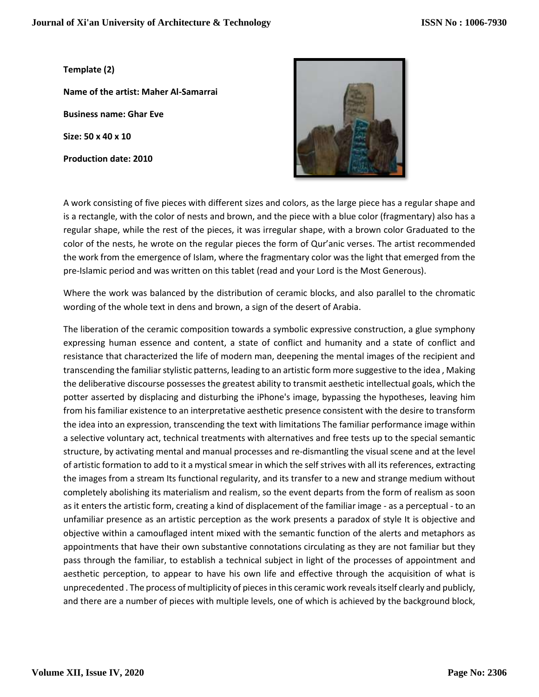**Template (2)**

**Name of the artist: Maher Al-Samarrai Business name: Ghar Eve Size: 50 x 40 x 10 Production date: 2010**



A work consisting of five pieces with different sizes and colors, as the large piece has a regular shape and is a rectangle, with the color of nests and brown, and the piece with a blue color (fragmentary) also has a regular shape, while the rest of the pieces, it was irregular shape, with a brown color Graduated to the color of the nests, he wrote on the regular pieces the form of Qur'anic verses. The artist recommended the work from the emergence of Islam, where the fragmentary color was the light that emerged from the pre-Islamic period and was written on this tablet (read and your Lord is the Most Generous).

Where the work was balanced by the distribution of ceramic blocks, and also parallel to the chromatic wording of the whole text in dens and brown, a sign of the desert of Arabia.

The liberation of the ceramic composition towards a symbolic expressive construction, a glue symphony expressing human essence and content, a state of conflict and humanity and a state of conflict and resistance that characterized the life of modern man, deepening the mental images of the recipient and transcending the familiar stylistic patterns, leading to an artistic form more suggestive to the idea , Making the deliberative discourse possesses the greatest ability to transmit aesthetic intellectual goals, which the potter asserted by displacing and disturbing the iPhone's image, bypassing the hypotheses, leaving him from his familiar existence to an interpretative aesthetic presence consistent with the desire to transform the idea into an expression, transcending the text with limitations The familiar performance image within a selective voluntary act, technical treatments with alternatives and free tests up to the special semantic structure, by activating mental and manual processes and re-dismantling the visual scene and at the level of artistic formation to add to it a mystical smear in which the self strives with all its references, extracting the images from a stream Its functional regularity, and its transfer to a new and strange medium without completely abolishing its materialism and realism, so the event departs from the form of realism as soon as it enters the artistic form, creating a kind of displacement of the familiar image - as a perceptual - to an unfamiliar presence as an artistic perception as the work presents a paradox of style It is objective and objective within a camouflaged intent mixed with the semantic function of the alerts and metaphors as appointments that have their own substantive connotations circulating as they are not familiar but they pass through the familiar, to establish a technical subject in light of the processes of appointment and aesthetic perception, to appear to have his own life and effective through the acquisition of what is unprecedented . The process of multiplicity of pieces in this ceramic work reveals itself clearly and publicly, and there are a number of pieces with multiple levels, one of which is achieved by the background block,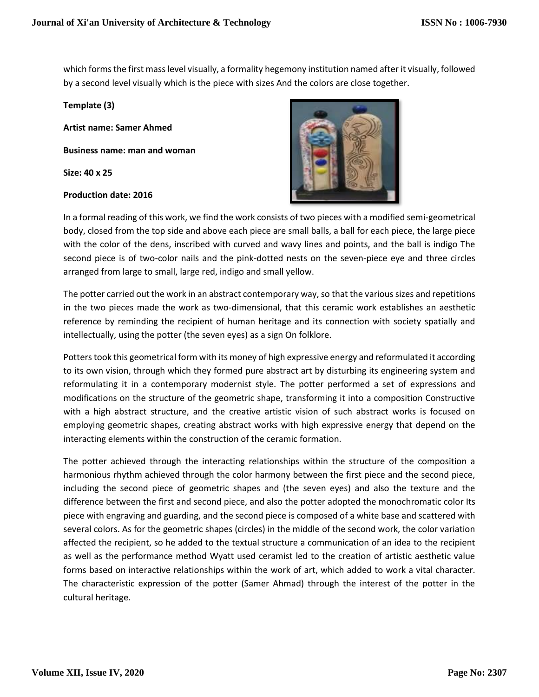which forms the first mass level visually, a formality hegemony institution named after it visually, followed by a second level visually which is the piece with sizes And the colors are close together.

**Template (3)**

**Artist name: Samer Ahmed**

**Business name: man and woman**

**Size: 40 x 25**

## **Production date: 2016**



In a formal reading of this work, we find the work consists of two pieces with a modified semi-geometrical body, closed from the top side and above each piece are small balls, a ball for each piece, the large piece with the color of the dens, inscribed with curved and wavy lines and points, and the ball is indigo The second piece is of two-color nails and the pink-dotted nests on the seven-piece eye and three circles arranged from large to small, large red, indigo and small yellow.

The potter carried out the work in an abstract contemporary way, so that the various sizes and repetitions in the two pieces made the work as two-dimensional, that this ceramic work establishes an aesthetic reference by reminding the recipient of human heritage and its connection with society spatially and intellectually, using the potter (the seven eyes) as a sign On folklore.

Potters took this geometrical form with its money of high expressive energy and reformulated it according to its own vision, through which they formed pure abstract art by disturbing its engineering system and reformulating it in a contemporary modernist style. The potter performed a set of expressions and modifications on the structure of the geometric shape, transforming it into a composition Constructive with a high abstract structure, and the creative artistic vision of such abstract works is focused on employing geometric shapes, creating abstract works with high expressive energy that depend on the interacting elements within the construction of the ceramic formation.

The potter achieved through the interacting relationships within the structure of the composition a harmonious rhythm achieved through the color harmony between the first piece and the second piece, including the second piece of geometric shapes and (the seven eyes) and also the texture and the difference between the first and second piece, and also the potter adopted the monochromatic color Its piece with engraving and guarding, and the second piece is composed of a white base and scattered with several colors. As for the geometric shapes (circles) in the middle of the second work, the color variation affected the recipient, so he added to the textual structure a communication of an idea to the recipient as well as the performance method Wyatt used ceramist led to the creation of artistic aesthetic value forms based on interactive relationships within the work of art, which added to work a vital character. The characteristic expression of the potter (Samer Ahmad) through the interest of the potter in the cultural heritage.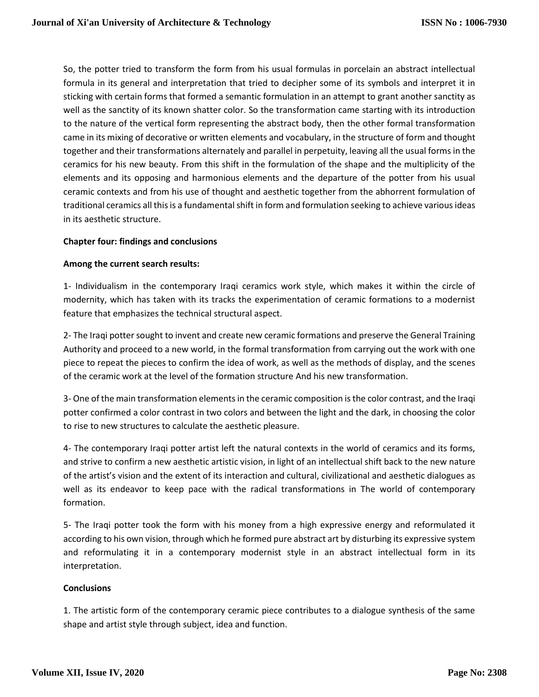So, the potter tried to transform the form from his usual formulas in porcelain an abstract intellectual formula in its general and interpretation that tried to decipher some of its symbols and interpret it in sticking with certain forms that formed a semantic formulation in an attempt to grant another sanctity as well as the sanctity of its known shatter color. So the transformation came starting with its introduction to the nature of the vertical form representing the abstract body, then the other formal transformation came in its mixing of decorative or written elements and vocabulary, in the structure of form and thought together and their transformations alternately and parallel in perpetuity, leaving all the usual forms in the ceramics for his new beauty. From this shift in the formulation of the shape and the multiplicity of the elements and its opposing and harmonious elements and the departure of the potter from his usual ceramic contexts and from his use of thought and aesthetic together from the abhorrent formulation of traditional ceramics all this is a fundamental shift in form and formulation seeking to achieve various ideas in its aesthetic structure.

# **Chapter four: findings and conclusions**

## **Among the current search results:**

1- Individualism in the contemporary Iraqi ceramics work style, which makes it within the circle of modernity, which has taken with its tracks the experimentation of ceramic formations to a modernist feature that emphasizes the technical structural aspect.

2- The Iraqi potter sought to invent and create new ceramic formations and preserve the General Training Authority and proceed to a new world, in the formal transformation from carrying out the work with one piece to repeat the pieces to confirm the idea of work, as well as the methods of display, and the scenes of the ceramic work at the level of the formation structure And his new transformation.

3- One of the main transformation elements in the ceramic composition is the color contrast, and the Iraqi potter confirmed a color contrast in two colors and between the light and the dark, in choosing the color to rise to new structures to calculate the aesthetic pleasure.

4- The contemporary Iraqi potter artist left the natural contexts in the world of ceramics and its forms, and strive to confirm a new aesthetic artistic vision, in light of an intellectual shift back to the new nature of the artist's vision and the extent of its interaction and cultural, civilizational and aesthetic dialogues as well as its endeavor to keep pace with the radical transformations in The world of contemporary formation.

5- The Iraqi potter took the form with his money from a high expressive energy and reformulated it according to his own vision, through which he formed pure abstract art by disturbing its expressive system and reformulating it in a contemporary modernist style in an abstract intellectual form in its interpretation.

# **Conclusions**

1. The artistic form of the contemporary ceramic piece contributes to a dialogue synthesis of the same shape and artist style through subject, idea and function.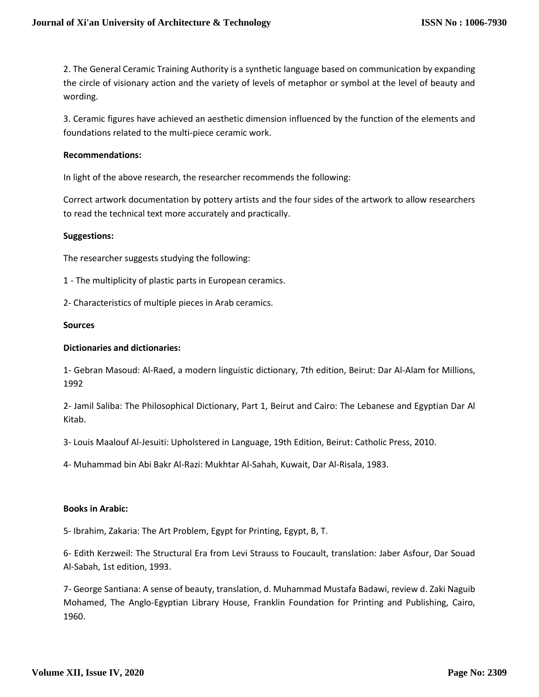2. The General Ceramic Training Authority is a synthetic language based on communication by expanding the circle of visionary action and the variety of levels of metaphor or symbol at the level of beauty and wording.

3. Ceramic figures have achieved an aesthetic dimension influenced by the function of the elements and foundations related to the multi-piece ceramic work.

#### **Recommendations:**

In light of the above research, the researcher recommends the following:

Correct artwork documentation by pottery artists and the four sides of the artwork to allow researchers to read the technical text more accurately and practically.

#### **Suggestions:**

The researcher suggests studying the following:

- 1 The multiplicity of plastic parts in European ceramics.
- 2- Characteristics of multiple pieces in Arab ceramics.

#### **Sources**

#### **Dictionaries and dictionaries:**

1- Gebran Masoud: Al-Raed, a modern linguistic dictionary, 7th edition, Beirut: Dar Al-Alam for Millions, 1992

2- Jamil Saliba: The Philosophical Dictionary, Part 1, Beirut and Cairo: The Lebanese and Egyptian Dar Al Kitab.

3- Louis Maalouf Al-Jesuiti: Upholstered in Language, 19th Edition, Beirut: Catholic Press, 2010.

4- Muhammad bin Abi Bakr Al-Razi: Mukhtar Al-Sahah, Kuwait, Dar Al-Risala, 1983.

#### **Books in Arabic:**

5- Ibrahim, Zakaria: The Art Problem, Egypt for Printing, Egypt, B, T.

6- Edith Kerzweil: The Structural Era from Levi Strauss to Foucault, translation: Jaber Asfour, Dar Souad Al-Sabah, 1st edition, 1993.

7- George Santiana: A sense of beauty, translation, d. Muhammad Mustafa Badawi, review d. Zaki Naguib Mohamed, The Anglo-Egyptian Library House, Franklin Foundation for Printing and Publishing, Cairo, 1960.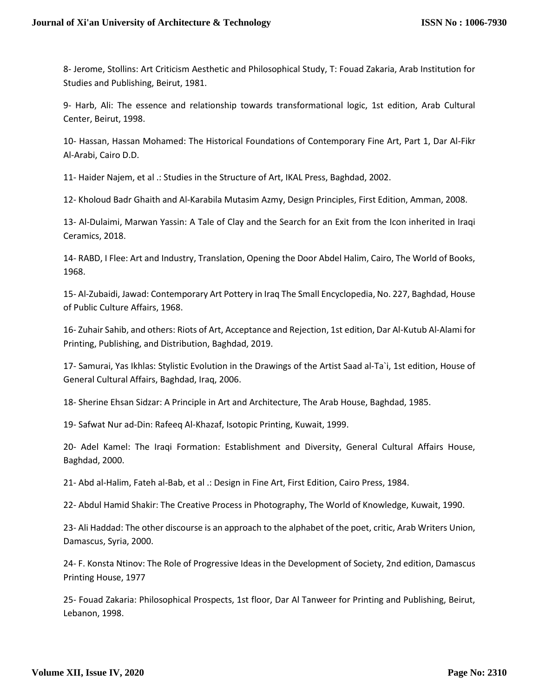8- Jerome, Stollins: Art Criticism Aesthetic and Philosophical Study, T: Fouad Zakaria, Arab Institution for Studies and Publishing, Beirut, 1981.

9- Harb, Ali: The essence and relationship towards transformational logic, 1st edition, Arab Cultural Center, Beirut, 1998.

10- Hassan, Hassan Mohamed: The Historical Foundations of Contemporary Fine Art, Part 1, Dar Al-Fikr Al-Arabi, Cairo D.D.

11- Haider Najem, et al .: Studies in the Structure of Art, IKAL Press, Baghdad, 2002.

12- Kholoud Badr Ghaith and Al-Karabila Mutasim Azmy, Design Principles, First Edition, Amman, 2008.

13- Al-Dulaimi, Marwan Yassin: A Tale of Clay and the Search for an Exit from the Icon inherited in Iraqi Ceramics, 2018.

14- RABD, I Flee: Art and Industry, Translation, Opening the Door Abdel Halim, Cairo, The World of Books, 1968.

15- Al-Zubaidi, Jawad: Contemporary Art Pottery in Iraq The Small Encyclopedia, No. 227, Baghdad, House of Public Culture Affairs, 1968.

16- Zuhair Sahib, and others: Riots of Art, Acceptance and Rejection, 1st edition, Dar Al-Kutub Al-Alami for Printing, Publishing, and Distribution, Baghdad, 2019.

17- Samurai, Yas Ikhlas: Stylistic Evolution in the Drawings of the Artist Saad al-Ta`i, 1st edition, House of General Cultural Affairs, Baghdad, Iraq, 2006.

18- Sherine Ehsan Sidzar: A Principle in Art and Architecture, The Arab House, Baghdad, 1985.

19- Safwat Nur ad-Din: Rafeeq Al-Khazaf, Isotopic Printing, Kuwait, 1999.

20- Adel Kamel: The Iraqi Formation: Establishment and Diversity, General Cultural Affairs House, Baghdad, 2000.

21- Abd al-Halim, Fateh al-Bab, et al .: Design in Fine Art, First Edition, Cairo Press, 1984.

22- Abdul Hamid Shakir: The Creative Process in Photography, The World of Knowledge, Kuwait, 1990.

23- Ali Haddad: The other discourse is an approach to the alphabet of the poet, critic, Arab Writers Union, Damascus, Syria, 2000.

24- F. Konsta Ntinov: The Role of Progressive Ideas in the Development of Society, 2nd edition, Damascus Printing House, 1977

25- Fouad Zakaria: Philosophical Prospects, 1st floor, Dar Al Tanweer for Printing and Publishing, Beirut, Lebanon, 1998.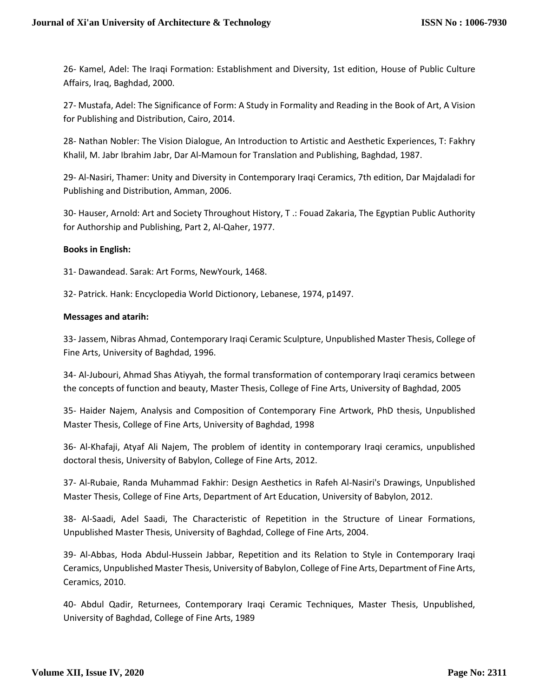26- Kamel, Adel: The Iraqi Formation: Establishment and Diversity, 1st edition, House of Public Culture Affairs, Iraq, Baghdad, 2000.

27- Mustafa, Adel: The Significance of Form: A Study in Formality and Reading in the Book of Art, A Vision for Publishing and Distribution, Cairo, 2014.

28- Nathan Nobler: The Vision Dialogue, An Introduction to Artistic and Aesthetic Experiences, T: Fakhry Khalil, M. Jabr Ibrahim Jabr, Dar Al-Mamoun for Translation and Publishing, Baghdad, 1987.

29- Al-Nasiri, Thamer: Unity and Diversity in Contemporary Iraqi Ceramics, 7th edition, Dar Majdaladi for Publishing and Distribution, Amman, 2006.

30- Hauser, Arnold: Art and Society Throughout History, T .: Fouad Zakaria, The Egyptian Public Authority for Authorship and Publishing, Part 2, Al-Qaher, 1977.

# **Books in English:**

31- Dawandead. Sarak: Art Forms, NewYourk, 1468.

32- Patrick. Hank: Encyclopedia World Dictionory, Lebanese, 1974, p1497.

## **Messages and atarih:**

33- Jassem, Nibras Ahmad, Contemporary Iraqi Ceramic Sculpture, Unpublished Master Thesis, College of Fine Arts, University of Baghdad, 1996.

34- Al-Jubouri, Ahmad Shas Atiyyah, the formal transformation of contemporary Iraqi ceramics between the concepts of function and beauty, Master Thesis, College of Fine Arts, University of Baghdad, 2005

35- Haider Najem, Analysis and Composition of Contemporary Fine Artwork, PhD thesis, Unpublished Master Thesis, College of Fine Arts, University of Baghdad, 1998

36- Al-Khafaji, Atyaf Ali Najem, The problem of identity in contemporary Iraqi ceramics, unpublished doctoral thesis, University of Babylon, College of Fine Arts, 2012.

37- Al-Rubaie, Randa Muhammad Fakhir: Design Aesthetics in Rafeh Al-Nasiri's Drawings, Unpublished Master Thesis, College of Fine Arts, Department of Art Education, University of Babylon, 2012.

38- Al-Saadi, Adel Saadi, The Characteristic of Repetition in the Structure of Linear Formations, Unpublished Master Thesis, University of Baghdad, College of Fine Arts, 2004.

39- Al-Abbas, Hoda Abdul-Hussein Jabbar, Repetition and its Relation to Style in Contemporary Iraqi Ceramics, Unpublished Master Thesis, University of Babylon, College of Fine Arts, Department of Fine Arts, Ceramics, 2010.

40- Abdul Qadir, Returnees, Contemporary Iraqi Ceramic Techniques, Master Thesis, Unpublished, University of Baghdad, College of Fine Arts, 1989